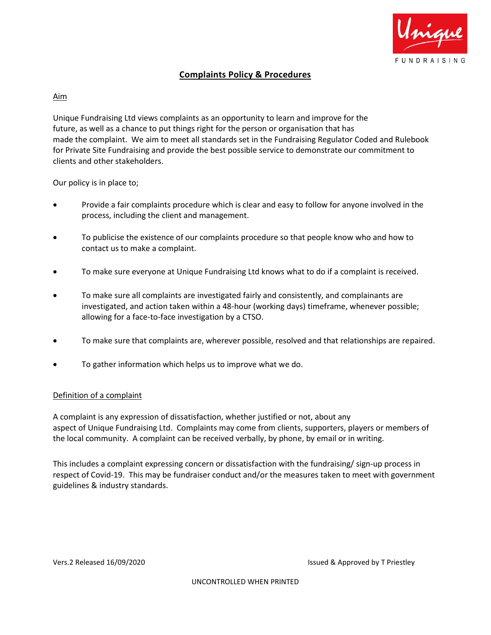

# **Complaints Policy & Procedures**

## Aim

Unique Fundraising Ltd views complaints as an opportunity to learn and improve for the future, as well as a chance to put things right for the person or organisation that has made the complaint. We aim to meet all standards set in the Fundraising Regulator Coded and Rulebook for Private Site Fundraising and provide the best possible service to demonstrate our commitment to clients and other stakeholders.

Our policy is in place to;

- Provide a fair complaints procedure which is clear and easy to follow for anyone involved in the process, including the client and management.
- To publicise the existence of our complaints procedure so that people know who and how to contact us to make a complaint.
- To make sure everyone at Unique Fundraising Ltd knows what to do if a complaint is received.
- To make sure all complaints are investigated fairly and consistently, and complainants are investigated, and action taken within a 48-hour (working days) timeframe, whenever possible; allowing for a face-to-face investigation by a CTSO.
- To make sure that complaints are, wherever possible, resolved and that relationships are repaired.
- To gather information which helps us to improve what we do.

#### Definition of a complaint

A complaint is any expression of dissatisfaction, whether justified or not, about any aspect of Unique Fundraising Ltd. Complaints may come from clients, supporters, players or members of the local community. A complaint can be received verbally, by phone, by email or in writing.

This includes a complaint expressing concern or dissatisfaction with the fundraising/ sign-up process in respect of Covid-19. This may be fundraiser conduct and/or the measures taken to meet with government guidelines & industry standards.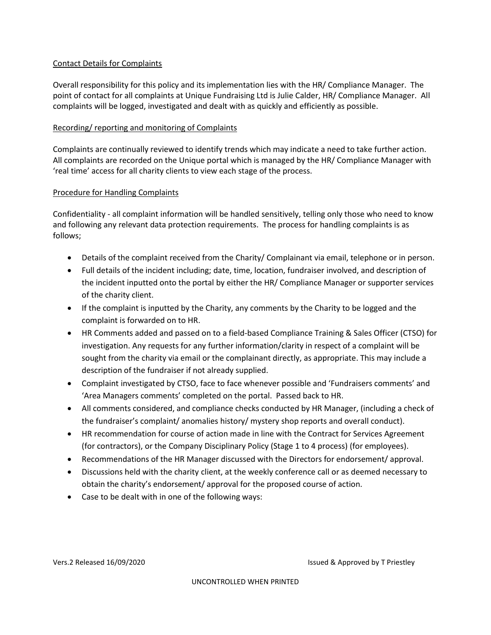## Contact Details for Complaints

Overall responsibility for this policy and its implementation lies with the HR/ Compliance Manager. The point of contact for all complaints at Unique Fundraising Ltd is Julie Calder, HR/ Compliance Manager. All complaints will be logged, investigated and dealt with as quickly and efficiently as possible.

## Recording/ reporting and monitoring of Complaints

Complaints are continually reviewed to identify trends which may indicate a need to take further action. All complaints are recorded on the Unique portal which is managed by the HR/ Compliance Manager with 'real time' access for all charity clients to view each stage of the process.

#### Procedure for Handling Complaints

Confidentiality - all complaint information will be handled sensitively, telling only those who need to know and following any relevant data protection requirements. The process for handling complaints is as follows;

- Details of the complaint received from the Charity/ Complainant via email, telephone or in person.
- Full details of the incident including; date, time, location, fundraiser involved, and description of the incident inputted onto the portal by either the HR/ Compliance Manager or supporter services of the charity client.
- If the complaint is inputted by the Charity, any comments by the Charity to be logged and the complaint is forwarded on to HR.
- HR Comments added and passed on to a field-based Compliance Training & Sales Officer (CTSO) for investigation. Any requests for any further information/clarity in respect of a complaint will be sought from the charity via email or the complainant directly, as appropriate. This may include a description of the fundraiser if not already supplied.
- Complaint investigated by CTSO, face to face whenever possible and 'Fundraisers comments' and 'Area Managers comments' completed on the portal. Passed back to HR.
- All comments considered, and compliance checks conducted by HR Manager, (including a check of the fundraiser's complaint/ anomalies history/ mystery shop reports and overall conduct).
- HR recommendation for course of action made in line with the Contract for Services Agreement (for contractors), or the Company Disciplinary Policy (Stage 1 to 4 process) (for employees).
- Recommendations of the HR Manager discussed with the Directors for endorsement/ approval.
- Discussions held with the charity client, at the weekly conference call or as deemed necessary to obtain the charity's endorsement/ approval for the proposed course of action.
- Case to be dealt with in one of the following ways: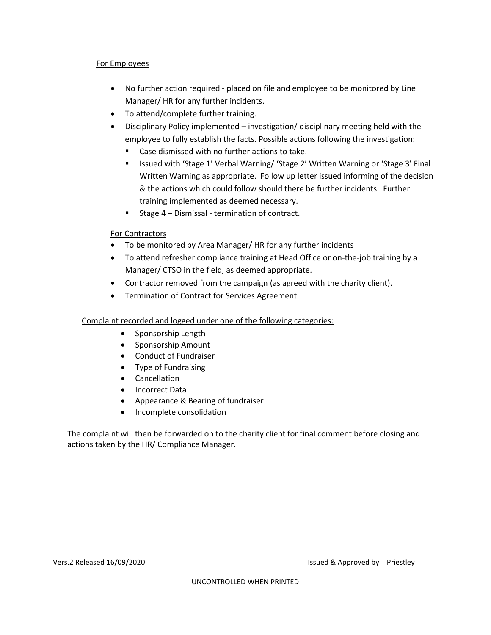# For Employees

- No further action required placed on file and employee to be monitored by Line Manager/ HR for any further incidents.
- To attend/complete further training.
- Disciplinary Policy implemented investigation/ disciplinary meeting held with the employee to fully establish the facts. Possible actions following the investigation:
	- Case dismissed with no further actions to take.
	- Issued with 'Stage 1' Verbal Warning/ 'Stage 2' Written Warning or 'Stage 3' Final Written Warning as appropriate. Follow up letter issued informing of the decision & the actions which could follow should there be further incidents. Further training implemented as deemed necessary.
	- Stage 4 Dismissal termination of contract.

# For Contractors

- To be monitored by Area Manager/ HR for any further incidents
- To attend refresher compliance training at Head Office or on-the-job training by a Manager/ CTSO in the field, as deemed appropriate.
- Contractor removed from the campaign (as agreed with the charity client).
- Termination of Contract for Services Agreement.

# Complaint recorded and logged under one of the following categories:

- Sponsorship Length
- Sponsorship Amount
- Conduct of Fundraiser
- Type of Fundraising
- Cancellation
- Incorrect Data
- Appearance & Bearing of fundraiser
- Incomplete consolidation

The complaint will then be forwarded on to the charity client for final comment before closing and actions taken by the HR/ Compliance Manager.